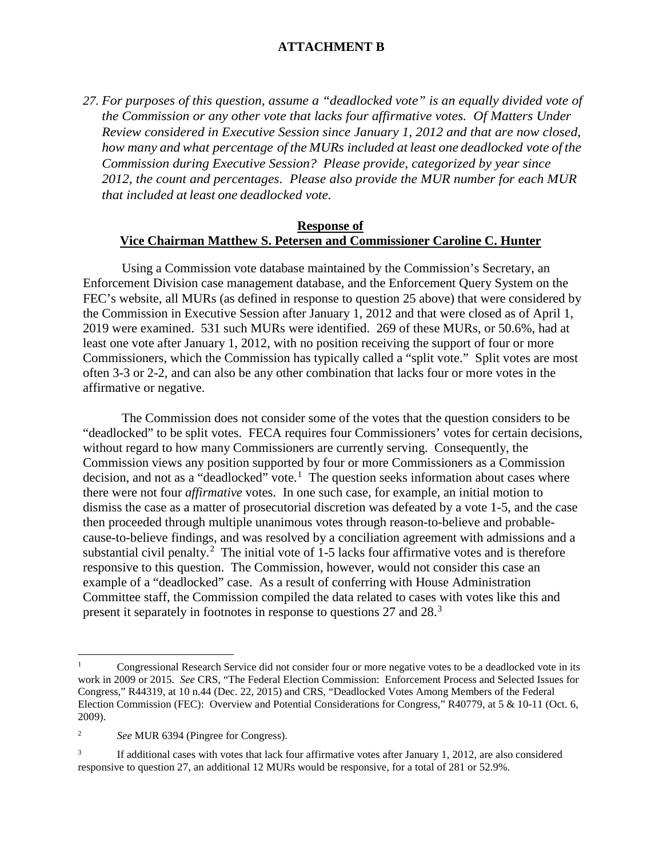*27. For purposes of this question, assume a "deadlocked vote" is an equally divided vote of the Commission or any other vote that lacks four affirmative votes. Of Matters Under Review considered in Executive Session since January 1, 2012 and that are now closed, how many and what percentage of the MURs included at least one deadlocked vote of the Commission during Executive Session? Please provide, categorized by year since 2012, the count and percentages. Please also provide the MUR number for each MUR that included at least one deadlocked vote.*

### **Response of Vice Chairman Matthew S. Petersen and Commissioner Caroline C. Hunter**

Using a Commission vote database maintained by the Commission's Secretary, an Enforcement Division case management database, and the Enforcement Query System on the FEC's website, all MURs (as defined in response to question 25 above) that were considered by the Commission in Executive Session after January 1, 2012 and that were closed as of April 1, 2019 were examined. 531 such MURs were identified. 269 of these MURs, or 50.6%, had at least one vote after January 1, 2012, with no position receiving the support of four or more Commissioners, which the Commission has typically called a "split vote." Split votes are most often 3-3 or 2-2, and can also be any other combination that lacks four or more votes in the affirmative or negative.

The Commission does not consider some of the votes that the question considers to be "deadlocked" to be split votes. FECA requires four Commissioners' votes for certain decisions, without regard to how many Commissioners are currently serving. Consequently, the Commission views any position supported by four or more Commissioners as a Commission decision, and not as a "deadlocked" vote.<sup>[1](#page-0-0)</sup> The question seeks information about cases where there were not four *affirmative* votes. In one such case, for example, an initial motion to dismiss the case as a matter of prosecutorial discretion was defeated by a vote 1-5, and the case then proceeded through multiple unanimous votes through reason-to-believe and probablecause-to-believe findings, and was resolved by a conciliation agreement with admissions and a substantial civil penalty.<sup>[2](#page-0-1)</sup> The initial vote of 1-5 lacks four affirmative votes and is therefore responsive to this question. The Commission, however, would not consider this case an example of a "deadlocked" case. As a result of conferring with House Administration Committee staff, the Commission compiled the data related to cases with votes like this and present it separately in footnotes in response to questions 27 and 28.<sup>[3](#page-0-2)</sup>

<span id="page-0-0"></span> <sup>1</sup> Congressional Research Service did not consider four or more negative votes to be a deadlocked vote in its work in 2009 or 2015. *See* CRS, "The Federal Election Commission: Enforcement Process and Selected Issues for Congress," R44319, at 10 n.44 (Dec. 22, 2015) and CRS, "Deadlocked Votes Among Members of the Federal Election Commission (FEC): Overview and Potential Considerations for Congress," R40779, at 5 & 10-11 (Oct. 6, 2009).

<span id="page-0-1"></span><sup>2</sup> *See* MUR 6394 (Pingree for Congress).

<span id="page-0-2"></span>If additional cases with votes that lack four affirmative votes after January 1, 2012, are also considered responsive to question 27, an additional 12 MURs would be responsive, for a total of 281 or 52.9%.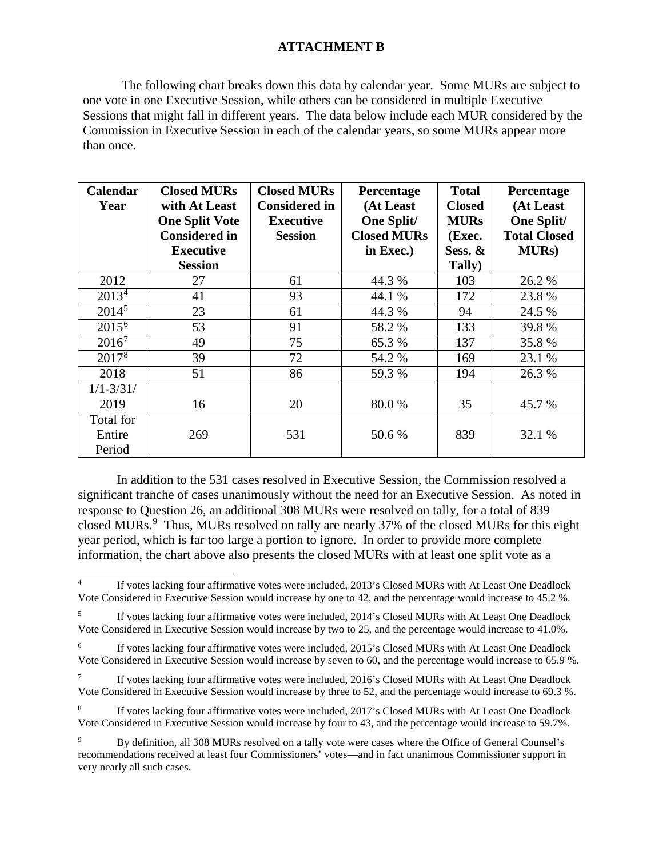The following chart breaks down this data by calendar year. Some MURs are subject to one vote in one Executive Session, while others can be considered in multiple Executive Sessions that might fall in different years. The data below include each MUR considered by the Commission in Executive Session in each of the calendar years, so some MURs appear more than once.

| Calendar              | <b>Closed MURs</b>    | <b>Closed MURs</b>   | Percentage         | <b>Total</b>  | Percentage          |
|-----------------------|-----------------------|----------------------|--------------------|---------------|---------------------|
| Year                  | with At Least         | <b>Considered in</b> | (At Least          | <b>Closed</b> | (At Least           |
|                       | <b>One Split Vote</b> | <b>Executive</b>     | One Split/         | <b>MURs</b>   | <b>One Split/</b>   |
|                       | <b>Considered in</b>  | <b>Session</b>       | <b>Closed MURs</b> | (Exec.        | <b>Total Closed</b> |
|                       | <b>Executive</b>      |                      | in Exec.)          | Sess. &       | <b>MURs</b> )       |
|                       | <b>Session</b>        |                      |                    | Tally)        |                     |
| 2012                  | 27                    | 61                   | 44.3 %             | 103           | 26.2 %              |
| 2013 <sup>4</sup>     | 41                    | 93                   | 44.1 %             | 172           | 23.8%               |
| $2014^5$              | 23                    | 61                   | 44.3 %             | 94            | 24.5 %              |
| $2015^{6}$            | 53                    | 91                   | 58.2 %             | 133           | 39.8%               |
| $2016^7$              | 49                    | 75                   | 65.3%              | 137           | 35.8%               |
| $2017^{\overline{8}}$ | 39                    | 72                   | 54.2 %             | 169           | 23.1 %              |
| 2018                  | 51                    | 86                   | 59.3 %             | 194           | 26.3 %              |
| $1/1 - 3/31/$         |                       |                      |                    |               |                     |
| 2019                  | 16                    | 20                   | 80.0%              | 35            | 45.7 %              |
| Total for             |                       |                      |                    |               |                     |
| Entire                | 269                   | 531                  | 50.6%              | 839           | 32.1 %              |
| Period                |                       |                      |                    |               |                     |

In addition to the 531 cases resolved in Executive Session, the Commission resolved a significant tranche of cases unanimously without the need for an Executive Session. As noted in response to Question 26, an additional 308 MURs were resolved on tally, for a total of 839 closed MURs.<sup>[9](#page-1-5)</sup> Thus, MURs resolved on tally are nearly 37% of the closed MURs for this eight year period, which is far too large a portion to ignore. In order to provide more complete information, the chart above also presents the closed MURs with at least one split vote as a

<span id="page-1-0"></span> <sup>4</sup> If votes lacking four affirmative votes were included, 2013's Closed MURs with At Least One Deadlock Vote Considered in Executive Session would increase by one to 42, and the percentage would increase to 45.2 %.

<span id="page-1-1"></span><sup>&</sup>lt;sup>5</sup> If votes lacking four affirmative votes were included, 2014's Closed MURs with At Least One Deadlock Vote Considered in Executive Session would increase by two to 25, and the percentage would increase to 41.0%.

<span id="page-1-2"></span><sup>&</sup>lt;sup>6</sup> If votes lacking four affirmative votes were included, 2015's Closed MURs with At Least One Deadlock Vote Considered in Executive Session would increase by seven to 60, and the percentage would increase to 65.9 %.

<span id="page-1-3"></span><sup>&</sup>lt;sup>7</sup> If votes lacking four affirmative votes were included, 2016's Closed MURs with At Least One Deadlock Vote Considered in Executive Session would increase by three to 52, and the percentage would increase to 69.3 %.

<span id="page-1-4"></span>If votes lacking four affirmative votes were included, 2017's Closed MURs with At Least One Deadlock Vote Considered in Executive Session would increase by four to 43, and the percentage would increase to 59.7%.

<span id="page-1-5"></span><sup>9</sup> By definition, all 308 MURs resolved on a tally vote were cases where the Office of General Counsel's recommendations received at least four Commissioners' votes—and in fact unanimous Commissioner support in very nearly all such cases.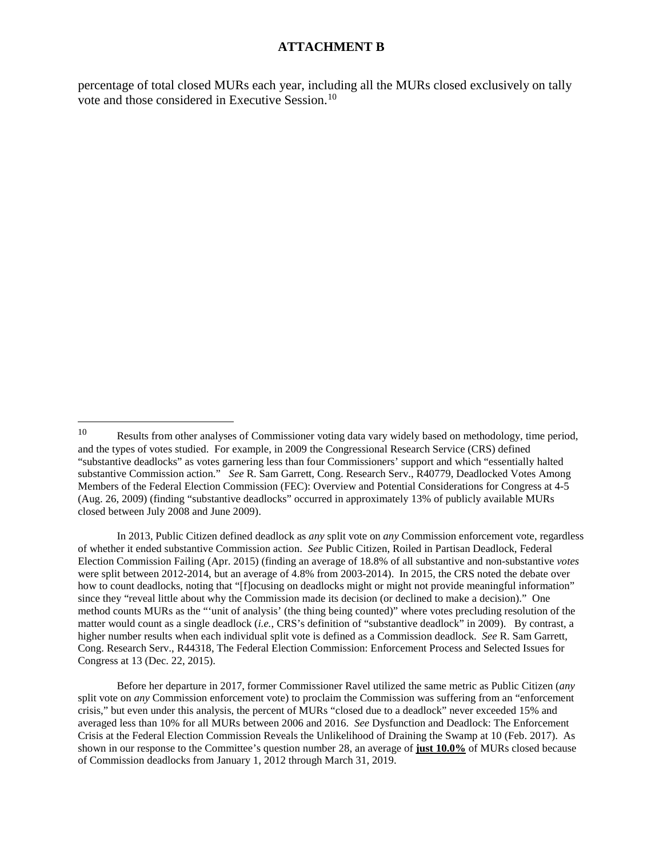percentage of total closed MURs each year, including all the MURs closed exclusively on tally vote and those considered in Executive Session.[10](#page-2-0)

In 2013, Public Citizen defined deadlock as *any* split vote on *any* Commission enforcement vote, regardless of whether it ended substantive Commission action. *See* Public Citizen, Roiled in Partisan Deadlock, Federal Election Commission Failing (Apr. 2015) (finding an average of 18.8% of all substantive and non-substantive *votes* were split between 2012-2014, but an average of 4.8% from 2003-2014). In 2015, the CRS noted the debate over how to count deadlocks, noting that "[f]ocusing on deadlocks might or might not provide meaningful information" since they "reveal little about why the Commission made its decision (or declined to make a decision)." One method counts MURs as the "'unit of analysis' (the thing being counted)" where votes precluding resolution of the matter would count as a single deadlock (*i.e.*, CRS's definition of "substantive deadlock" in 2009). By contrast, a higher number results when each individual split vote is defined as a Commission deadlock. *See* R. Sam Garrett, Cong. Research Serv., R44318, The Federal Election Commission: Enforcement Process and Selected Issues for Congress at 13 (Dec. 22, 2015).

Before her departure in 2017, former Commissioner Ravel utilized the same metric as Public Citizen (*any* split vote on *any* Commission enforcement vote) to proclaim the Commission was suffering from an "enforcement crisis," but even under this analysis, the percent of MURs "closed due to a deadlock" never exceeded 15% and averaged less than 10% for all MURs between 2006 and 2016. *See* Dysfunction and Deadlock: The Enforcement Crisis at the Federal Election Commission Reveals the Unlikelihood of Draining the Swamp at 10 (Feb. 2017). As shown in our response to the Committee's question number 28, an average of **just 10.0%** of MURs closed because of Commission deadlocks from January 1, 2012 through March 31, 2019.

<span id="page-2-0"></span> <sup>10</sup> Results from other analyses of Commissioner voting data vary widely based on methodology, time period, and the types of votes studied. For example, in 2009 the Congressional Research Service (CRS) defined "substantive deadlocks" as votes garnering less than four Commissioners' support and which "essentially halted substantive Commission action." *See* R. Sam Garrett, Cong. Research Serv., R40779, Deadlocked Votes Among Members of the Federal Election Commission (FEC): Overview and Potential Considerations for Congress at 4-5 (Aug. 26, 2009) (finding "substantive deadlocks" occurred in approximately 13% of publicly available MURs closed between July 2008 and June 2009).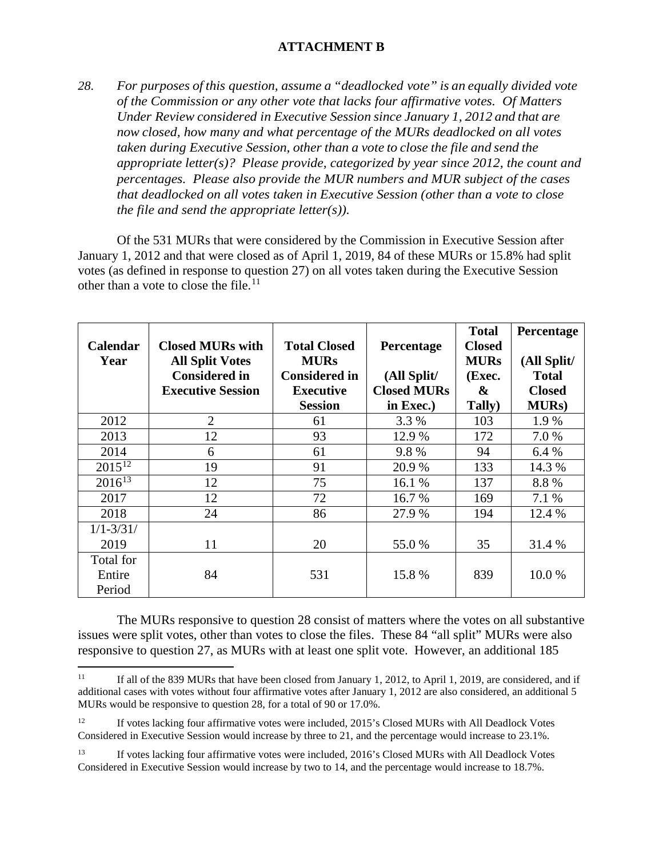*28. For purposes of this question, assume a "deadlocked vote" is an equally divided vote of the Commission or any other vote that lacks four affirmative votes. Of Matters Under Review considered in Executive Session since January 1, 2012 and that are now closed, how many and what percentage of the MURs deadlocked on all votes taken during Executive Session, other than a vote to close the file and send the appropriate letter(s)? Please provide, categorized by year since 2012, the count and percentages. Please also provide the MUR numbers and MUR subject of the cases that deadlocked on all votes taken in Executive Session (other than a vote to close the file and send the appropriate letter(s)).*

Of the 531 MURs that were considered by the Commission in Executive Session after January 1, 2012 and that were closed as of April 1, 2019, 84 of these MURs or 15.8% had split votes (as defined in response to question 27) on all votes taken during the Executive Session other than a vote to close the file.<sup>11</sup>

|                 |                          |                      |                    | <b>Total</b>  | Percentage    |
|-----------------|--------------------------|----------------------|--------------------|---------------|---------------|
| <b>Calendar</b> | <b>Closed MURs with</b>  | <b>Total Closed</b>  | Percentage         | <b>Closed</b> |               |
| Year            | <b>All Split Votes</b>   | <b>MURs</b>          |                    | <b>MURs</b>   | (All Split/   |
|                 | <b>Considered in</b>     | <b>Considered in</b> | (All Split/        | (Exec.        | <b>Total</b>  |
|                 | <b>Executive Session</b> | <b>Executive</b>     | <b>Closed MURs</b> | &             | <b>Closed</b> |
|                 |                          | <b>Session</b>       | in Exec.)          | Tally)        | <b>MURs</b> ) |
| 2012            | $\overline{2}$           | 61                   | 3.3 %              | 103           | 1.9 %         |
| 2013            | 12                       | 93                   | 12.9 %             | 172           | 7.0 %         |
| 2014            | 6                        | 61                   | 9.8%               | 94            | 6.4%          |
| $2015^{12}$     | 19                       | 91                   | 20.9%              | 133           | 14.3 %        |
| $2016^{13}$     | 12                       | 75                   | 16.1 %             | 137           | 8.8%          |
| 2017            | 12                       | 72                   | 16.7 %             | 169           | 7.1 %         |
| 2018            | 24                       | 86                   | 27.9 %             | 194           | 12.4 %        |
| $1/1 - 3/31/$   |                          |                      |                    |               |               |
| 2019            | 11                       | 20                   | 55.0 %             | 35            | 31.4 %        |
| Total for       |                          |                      |                    |               |               |
| Entire          | 84                       | 531                  | 15.8%              | 839           | 10.0%         |
| Period          |                          |                      |                    |               |               |

The MURs responsive to question 28 consist of matters where the votes on all substantive issues were split votes, other than votes to close the files. These 84 "all split" MURs were also responsive to question 27, as MURs with at least one split vote. However, an additional 185

<span id="page-3-0"></span><sup>&</sup>lt;sup>11</sup> If all of the 839 MURs that have been closed from January 1, 2012, to April 1, 2019, are considered, and if additional cases with votes without four affirmative votes after January 1, 2012 are also considered, an additional 5 MURs would be responsive to question 28, for a total of 90 or 17.0%.

<span id="page-3-1"></span><sup>&</sup>lt;sup>12</sup> If votes lacking four affirmative votes were included, 2015's Closed MURs with All Deadlock Votes Considered in Executive Session would increase by three to 21, and the percentage would increase to 23.1%.

<span id="page-3-2"></span><sup>&</sup>lt;sup>13</sup> If votes lacking four affirmative votes were included, 2016's Closed MURs with All Deadlock Votes Considered in Executive Session would increase by two to 14, and the percentage would increase to 18.7%.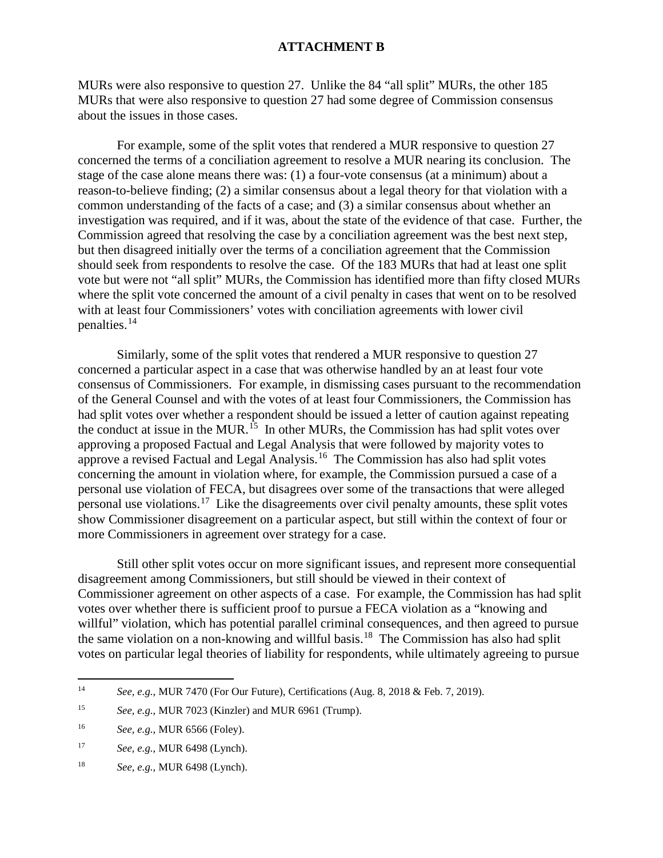MURs were also responsive to question 27. Unlike the 84 "all split" MURs, the other 185 MURs that were also responsive to question 27 had some degree of Commission consensus about the issues in those cases.

For example, some of the split votes that rendered a MUR responsive to question 27 concerned the terms of a conciliation agreement to resolve a MUR nearing its conclusion. The stage of the case alone means there was: (1) a four-vote consensus (at a minimum) about a reason-to-believe finding; (2) a similar consensus about a legal theory for that violation with a common understanding of the facts of a case; and (3) a similar consensus about whether an investigation was required, and if it was, about the state of the evidence of that case. Further, the Commission agreed that resolving the case by a conciliation agreement was the best next step, but then disagreed initially over the terms of a conciliation agreement that the Commission should seek from respondents to resolve the case. Of the 183 MURs that had at least one split vote but were not "all split" MURs, the Commission has identified more than fifty closed MURs where the split vote concerned the amount of a civil penalty in cases that went on to be resolved with at least four Commissioners' votes with conciliation agreements with lower civil penalties.[14](#page-4-0)

Similarly, some of the split votes that rendered a MUR responsive to question 27 concerned a particular aspect in a case that was otherwise handled by an at least four vote consensus of Commissioners. For example, in dismissing cases pursuant to the recommendation of the General Counsel and with the votes of at least four Commissioners, the Commission has had split votes over whether a respondent should be issued a letter of caution against repeating the conduct at issue in the MUR.<sup>[15](#page-4-1)</sup> In other MURs, the Commission has had split votes over approving a proposed Factual and Legal Analysis that were followed by majority votes to approve a revised Factual and Legal Analysis.[16](#page-4-2) The Commission has also had split votes concerning the amount in violation where, for example, the Commission pursued a case of a personal use violation of FECA, but disagrees over some of the transactions that were alleged personal use violations.<sup>17</sup> Like the disagreements over civil penalty amounts, these split votes show Commissioner disagreement on a particular aspect, but still within the context of four or more Commissioners in agreement over strategy for a case.

Still other split votes occur on more significant issues, and represent more consequential disagreement among Commissioners, but still should be viewed in their context of Commissioner agreement on other aspects of a case. For example, the Commission has had split votes over whether there is sufficient proof to pursue a FECA violation as a "knowing and willful" violation, which has potential parallel criminal consequences, and then agreed to pursue the same violation on a non-knowing and willful basis.[18](#page-4-4) The Commission has also had split votes on particular legal theories of liability for respondents, while ultimately agreeing to pursue

<span id="page-4-0"></span> <sup>14</sup> *See, e.g.*, MUR 7470 (For Our Future), Certifications (Aug. 8, 2018 & Feb. 7, 2019).

<span id="page-4-1"></span><sup>15</sup> *See, e.g.*, MUR 7023 (Kinzler) and MUR 6961 (Trump).

<span id="page-4-2"></span><sup>16</sup> *See, e.g.*, MUR 6566 (Foley).

<span id="page-4-3"></span><sup>17</sup> *See, e.g.*, MUR 6498 (Lynch).

<span id="page-4-4"></span><sup>18</sup> *See, e.g.,* MUR 6498 (Lynch).